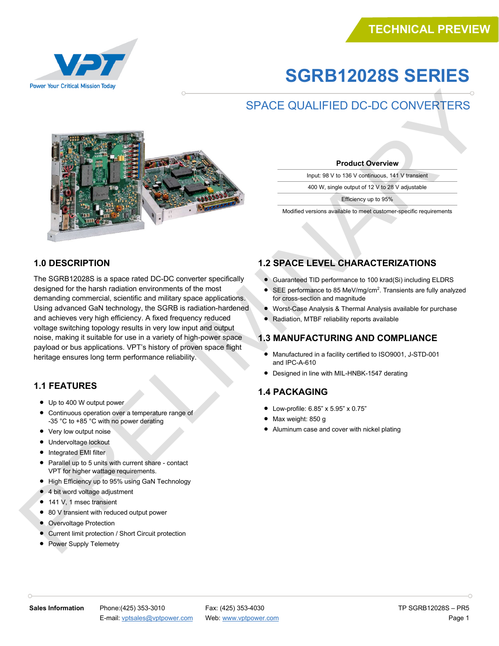# **TECHNICAL EW**

## **SGRB12028S SERIES**

### SPACE QUALIFIED DC-DC CONVERTERS



**Product Overview**

Input: 98 V to 136 V continuous, 141 V transient

400 W, single output of 12 V to 28 V adjustable

Efficiency up to 95%

Modified versions available to meet customer-specific requirements

#### **1.0 DESCRIPTION**

The SGRB12028S is a space rated DC-DC converter specifically designed for the harsh radiation environments of the most demanding commercial, scientific and military space applications. Using advanced GaN technology, the SGRB is radiation-hardened and achieves very high efficiency. A fixed frequency reduced voltage switching topology results in very low input and output noise, making it suitable for use in a variety of high-power space payload or bus applications. VPT's history of proven space flight heritage ensures long term performance reliability.

#### **1.1 FEATURES**

- Up to 400 W output power
- Continuous operation over a temperature range of -35 °C to +85 °C with no power derating
- Very low output noise
- Undervoltage lockout
- Integrated EMI filter
- Parallel up to 5 units with current share contact VPT for higher wattage requirements.
- High Efficiency up to 95% using GaN Technology
- 4 bit word voltage adjustment
- 141 V, 1 msec transient
- 80 V transient with reduced output power
- Overvoltage Protection
- Current limit protection / Short Circuit protection
- Power Supply Telemetry

#### **1.2 SPACE LEVEL CHARACTERIZATIONS**

- Guaranteed TID performance to 100 krad(Si) including ELDRS
- SEE performance to 85 MeV/mg/cm<sup>2</sup>. Transients are fully analyzed for cross-section and magnitude
- Worst-Case Analysis & Thermal Analysis available for purchase
- Radiation, MTBF reliability reports available

#### **1.3 MANUFACTURING AND COMPLIANCE**

- Manufactured in a facility certified to ISO9001, J-STD-001 and IPC-A-610
- Designed in line with MIL-HNBK-1547 derating

#### **1.4 PACKAGING**

- Low-profile: 6.85" x 5.95" x 0.75"
- Max weight: 850 g
- Aluminum case and cover with nickel plating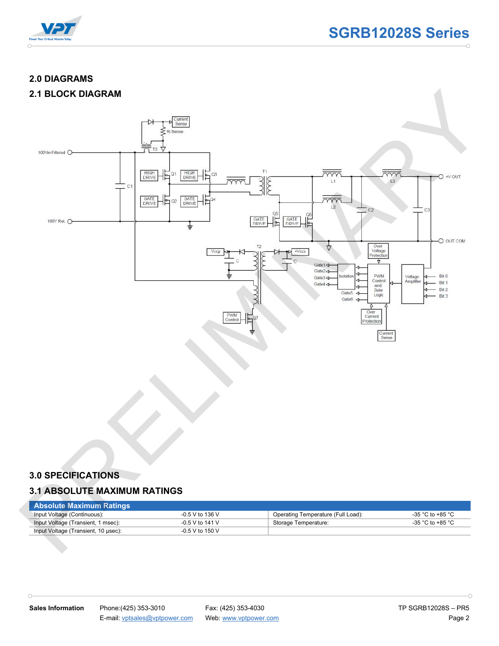

#### **2.0 DIAGRAMS**

#### **2.1 BLOCK DIAGRAM**



#### **3.0 SPECIFICATIONS**

 $\cap$ 

#### **3.1 ABSOLUTE MAXIMUM RATINGS**

| Absolute Maximum Ratings            |                   |                                    |                  |
|-------------------------------------|-------------------|------------------------------------|------------------|
| Input Voltage (Continuous):         | $-0.5$ V to 136 V | Operating Temperature (Full Load): | -35 °C to +85 °C |
| Input Voltage (Transient, 1 msec):  | $-0.5$ V to 141 V | Storage Temperature:               | -35 °C to +85 °C |
| Input Voltage (Transient, 10 µsec): | $-0.5$ V to 150 V |                                    |                  |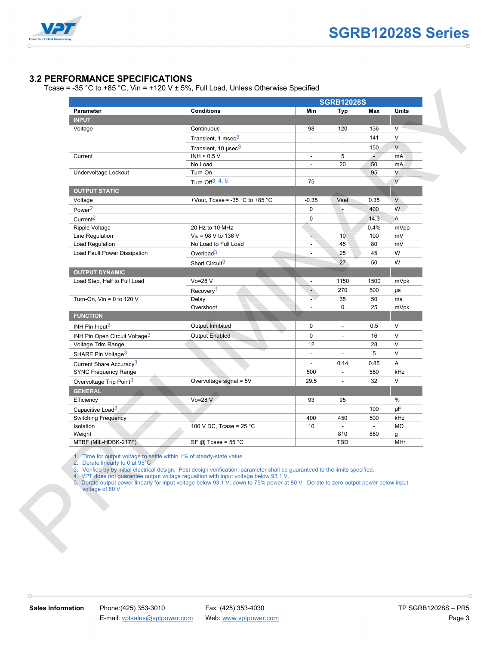

#### **3.2 PERFORMANCE SPECIFICATIONS**

Tcase = -35 °C to +85 °C, Vin = +120 V  $\pm$  5%, Full Load, Unless Otherwise Specified

|                                                                                                                             | <b>SGRB12028S</b>                                                                                                                                                                                                                                                                                                                                           |                          |                          |                          |              |
|-----------------------------------------------------------------------------------------------------------------------------|-------------------------------------------------------------------------------------------------------------------------------------------------------------------------------------------------------------------------------------------------------------------------------------------------------------------------------------------------------------|--------------------------|--------------------------|--------------------------|--------------|
| Parameter<br><b>INPUT</b>                                                                                                   | <b>Conditions</b>                                                                                                                                                                                                                                                                                                                                           | Min                      | Typ                      | Max                      | <b>Units</b> |
| Voltage                                                                                                                     | Continuous                                                                                                                                                                                                                                                                                                                                                  | 98                       | 120                      | 136                      | $\vee$       |
|                                                                                                                             | Transient, 1 msec <sup>3</sup>                                                                                                                                                                                                                                                                                                                              | $\overline{\phantom{0}}$ | $\overline{\phantom{a}}$ | 141                      | $\vee$       |
|                                                                                                                             | Transient, 10 µsec <sup>3</sup>                                                                                                                                                                                                                                                                                                                             | ٠                        | $\overline{\phantom{a}}$ | 150                      | $\vee$       |
| Current                                                                                                                     | INH < $0.5$ V                                                                                                                                                                                                                                                                                                                                               | $\overline{\phantom{a}}$ | 5                        | $\blacksquare$           | mA           |
|                                                                                                                             | No Load                                                                                                                                                                                                                                                                                                                                                     | $\overline{\phantom{a}}$ | 20                       | 50                       | mA           |
| Undervoltage Lockout                                                                                                        | Turn-On                                                                                                                                                                                                                                                                                                                                                     | L.                       | $\overline{\phantom{a}}$ | 95                       | $\vee$       |
|                                                                                                                             | Turn-Off <sup>3, 4, 5</sup>                                                                                                                                                                                                                                                                                                                                 | 75                       | $\overline{\phantom{a}}$ |                          | $\vee$       |
| <b>OUTPUT STATIC</b>                                                                                                        |                                                                                                                                                                                                                                                                                                                                                             |                          |                          |                          |              |
| Voltage                                                                                                                     | +Vout, Tcase = -35 $^{\circ}$ C to +85 $^{\circ}$ C                                                                                                                                                                                                                                                                                                         | $-0.35$                  | Vset                     | 0.35                     | V            |
| Power <sup>2</sup>                                                                                                          |                                                                                                                                                                                                                                                                                                                                                             | 0                        |                          | 400                      | W.           |
| Current <sup>2</sup>                                                                                                        |                                                                                                                                                                                                                                                                                                                                                             | 0                        | $\overline{\phantom{a}}$ | 14.3                     | Α            |
| Ripple Voltage                                                                                                              | 20 Hz to 10 MHz                                                                                                                                                                                                                                                                                                                                             | à,                       |                          | 0.4%                     | mVpp         |
| Line Regulation                                                                                                             | $V_{IN}$ = 98 V to 136 V                                                                                                                                                                                                                                                                                                                                    | ų,                       | 10 <sub>1</sub>          | 100                      | mV           |
| Load Regulation                                                                                                             | No Load to Full Load                                                                                                                                                                                                                                                                                                                                        | $\overline{\phantom{a}}$ | 45                       | 80                       | mV           |
| Load Fault Power Dissipation                                                                                                | Overload <sup>3</sup>                                                                                                                                                                                                                                                                                                                                       |                          | 25                       | 45                       | W            |
|                                                                                                                             | Short Circuit <sup>3</sup>                                                                                                                                                                                                                                                                                                                                  |                          | 27                       | 50                       | W            |
| <b>OUTPUT DYNAMIC</b>                                                                                                       |                                                                                                                                                                                                                                                                                                                                                             |                          |                          |                          |              |
| Load Step, Half to Full Load                                                                                                | Vo=28 V                                                                                                                                                                                                                                                                                                                                                     | $\overline{\phantom{a}}$ | 1150                     | 1500                     | mVpk         |
|                                                                                                                             | Recovery <sup>1</sup>                                                                                                                                                                                                                                                                                                                                       | -                        | 270                      | 500                      | μs           |
| Turn-On, Vin = $0$ to 120 V                                                                                                 | Delay                                                                                                                                                                                                                                                                                                                                                       | È.                       | 35                       | 50                       | ms           |
|                                                                                                                             | Overshoot                                                                                                                                                                                                                                                                                                                                                   | $\blacksquare$           | 0                        | 25                       | mVpk         |
| <b>FUNCTION</b>                                                                                                             |                                                                                                                                                                                                                                                                                                                                                             |                          |                          |                          |              |
| INH Pin Input $3$                                                                                                           | Output Inhibited                                                                                                                                                                                                                                                                                                                                            | 0                        | $\overline{\phantom{a}}$ | 0.5                      | $\vee$       |
| INH Pin Open Circuit Voltage <sup>3</sup>                                                                                   | <b>Output Enabled</b>                                                                                                                                                                                                                                                                                                                                       | 0                        |                          | 16                       | $\vee$       |
| Voltage Trim Range                                                                                                          |                                                                                                                                                                                                                                                                                                                                                             | 12                       |                          | 28                       | $\vee$       |
| SHARE Pin Voltage <sup>3</sup>                                                                                              |                                                                                                                                                                                                                                                                                                                                                             | $\overline{\phantom{a}}$ | $\overline{a}$           | 5                        | V            |
| Current Share Accuracy <sup>3</sup>                                                                                         |                                                                                                                                                                                                                                                                                                                                                             | $\overline{\phantom{a}}$ | 0.14                     | 0.85                     | Α            |
| <b>SYNC Frequency Range</b>                                                                                                 |                                                                                                                                                                                                                                                                                                                                                             | 500                      | $\overline{\phantom{a}}$ | 550                      | kHz          |
| Overvoltage Trip Point <sup>3</sup>                                                                                         | Overvoltage signal = 5V                                                                                                                                                                                                                                                                                                                                     | 29.5                     | $\overline{\phantom{a}}$ | 32                       | V            |
| <b>GENERAL</b>                                                                                                              |                                                                                                                                                                                                                                                                                                                                                             |                          |                          |                          |              |
| Efficiency                                                                                                                  | $Vo = 28 V$                                                                                                                                                                                                                                                                                                                                                 | 93                       | 95                       |                          | $\%$         |
| Capacitive Load <sup>3</sup>                                                                                                |                                                                                                                                                                                                                                                                                                                                                             |                          |                          | 100                      | $\mu$ F      |
| <b>Switching Frequency</b>                                                                                                  |                                                                                                                                                                                                                                                                                                                                                             | 400                      | 450                      | 500                      | kHz          |
| Isolation                                                                                                                   | 100 V DC, Tcase = $25 °C$                                                                                                                                                                                                                                                                                                                                   | 10                       |                          | $\overline{\phantom{a}}$ | ΜΩ           |
| Weight<br>MTBF (MIL-HDBK-217F)                                                                                              | SF @ Tcase = $55^{\circ}$ C                                                                                                                                                                                                                                                                                                                                 |                          | 810<br><b>TBD</b>        | 850                      | g<br>MHr     |
| 1. Time for output voltage to settle within 1% of steady-state value<br>2. Derate linearly to 0 at 95°C<br>voltage of 80 V. | 3. Verified by by initial electrical design. Post design verification, parameter shall be guaranteed to the limits specified.<br>4. VPT does not guarantee output voltage regualtion with input voltage below 93.1 V.<br>5. Derate output power linearly for input voltage below 93.1 V, down to 75% power at 80 V. Derate to zero output power below input |                          |                          |                          |              |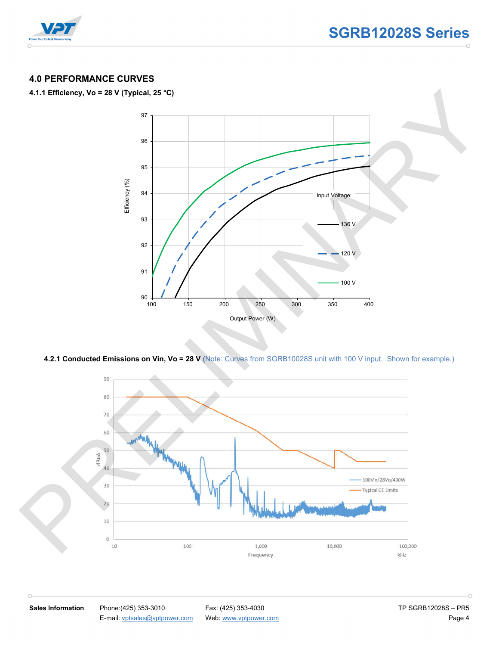

#### **4.0 PERFORMANCE CURVES**

#### **4.1.1 Efficiency, Vo = 28 V (Typical, 25 °C)**



**4.2.1 Conducted Emissions on Vin, Vo = 28 V (**Note: Curves from SGRB10028S unit with 100 V input. Shown for example.)



 $\cap$ 

**Sales Information** Phone:(425) 353-3010 Fax: (425) 353-4030 **Fax: (425) 353-4030** TP SGRB12028S – PR5 E-mail: vptsales@vptpower.com Web: www.vptpower.com Page 4

 $\cap$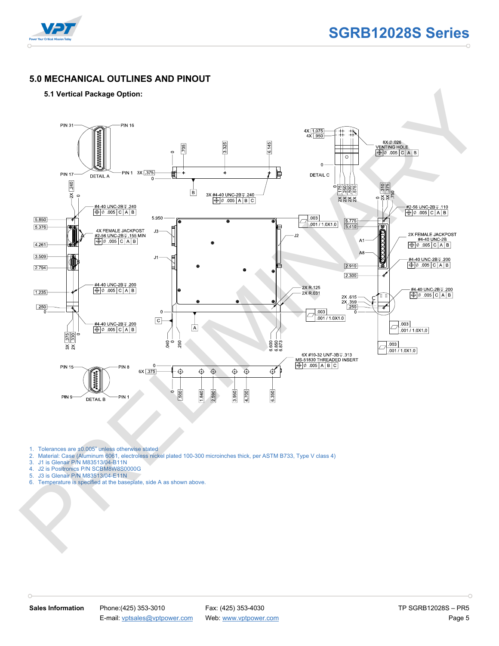

#### **5.0 MECHANICAL OUTLINES AND PINOUT**

#### **5.1 Vertical Package Option:**



- 1. Tolerances are ±0.005" unless otherwise stated
- 2. Material: Case (Aluminum 6061, electroless nickel plated 100-300 microinches thick, per ASTM B733, Type V class 4)
- 3. J1 is Glenair P/N M83513/04-B11N<br>4. J2 is Positronics P/N SCBM8W8S00
- 4. J2 is Positronics P/N SCBM8W8S0000G
- 5. J3 is Glenair P/N M83513/04-E11N
- 6. Temperature is specified at the baseplate, side A as shown above.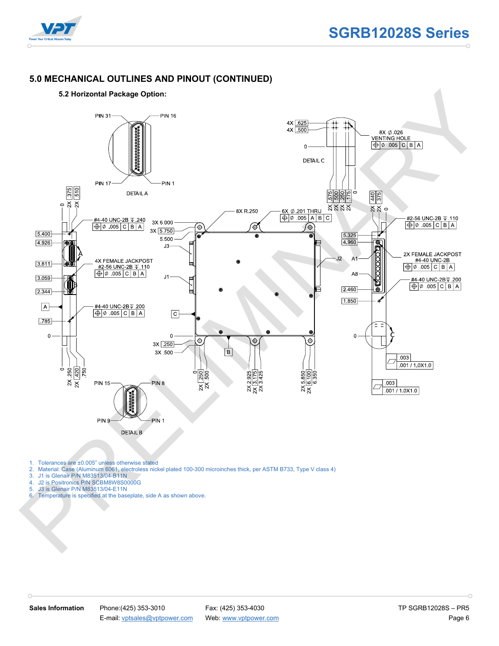

#### **5.0 MECHANICAL OUTLINES AND PINOUT (CONTINUED)**



- 1. Tolerances are ±0.005" unless otherwise stated<br>2. Material: Case (Aluminum 6061, electroless nick
- 2. Material: Case (Aluminum 6061, electroless nickel plated 100-300 microinches thick, per ASTM B733, Type V class 4)
- 3. J1 is Glenair P/N M83513/04-B11N<br>4. J2 is Positronics P/N SCBM8W8S00
- 4. J2 is Positronics P/N SCBM8W8S0000G<br>5. J3 is Glenair P/N M83513/04-E11N 5. J3 is Glenair P/N M83513/04-E11N
- 
- 6. Temperature is specified at the baseplate, side A as shown above.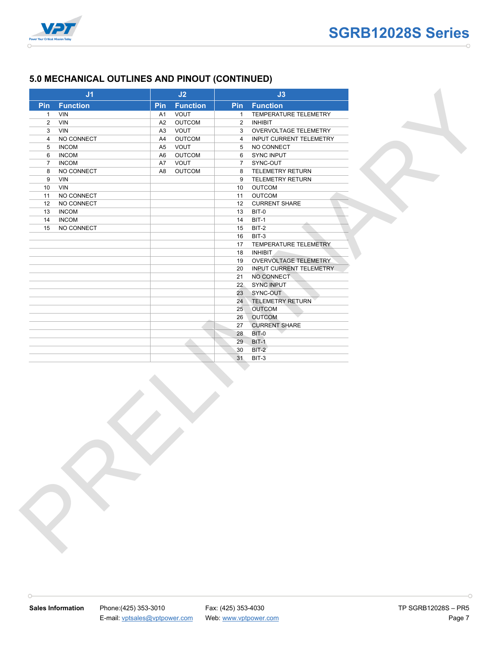

#### **5.0 MECHANICAL OUTLINES AND PINOUT (CONTINUED)**

| <b>Pin</b> Function             |                | J2              |                | J3                             |
|---------------------------------|----------------|-----------------|----------------|--------------------------------|
|                                 | Pin            | <b>Function</b> |                | <b>Pin Function</b>            |
| <b>VIN</b><br>$\mathbf{1}$      | A1             | VOUT            | $\mathbf{1}$   | TEMPERATURE TELEMETRY          |
| $\overline{2}$<br>VIN           | A2             | <b>OUTCOM</b>   | $\overline{2}$ | <b>INHIBIT</b>                 |
| VIN<br>3                        | A3             | VOUT            | 3              | OVERVOLTAGE TELEMETRY          |
| NO CONNECT<br>$\overline{4}$    | A4             | <b>OUTCOM</b>   | $\overline{4}$ | <b>INPUT CURRENT TELEMETRY</b> |
| 5 <sup>5</sup><br><b>INCOM</b>  | A <sub>5</sub> | VOUT            | 5              | NO CONNECT                     |
| <b>INCOM</b><br>6               | A6             | <b>OUTCOM</b>   | 6              | SYNC INPUT                     |
| $7\overline{ }$<br><b>INCOM</b> | A7             | VOUT            |                | 7 SYNC-OUT                     |
| 8<br>NO CONNECT                 | A <sub>8</sub> | <b>OUTCOM</b>   | 8              | TELEMETRY RETURN               |
| 9<br><b>VIN</b>                 |                |                 | 9              | TELEMETRY RETURN               |
| VIN<br>10                       |                |                 | 10             | <b>OUTCOM</b><br><b>OUTCOM</b> |
| NO CONNECT<br>11<br>NO CONNECT  |                |                 | 11<br>12       |                                |
| 12<br><b>INCOM</b><br>13        |                |                 | 13             | <b>CURRENT SHARE</b><br>BIT-0  |
| <b>INCOM</b><br>14              |                |                 | 14             | BIT-1                          |
| NO CONNECT<br>15                |                |                 | 15             | BIT-2                          |
|                                 |                |                 | 16             | BIT-3                          |
|                                 |                |                 | 17             | TEMPERATURE TELEMETRY          |
|                                 |                |                 | 18             | <b>INHIBIT</b>                 |
|                                 |                |                 | 19             | OVERVOLTAGE TELEMETRY          |
|                                 |                |                 | 20             | INPUT CURRENT TELEMETRY        |
|                                 |                |                 | 21             | NO CONNECT                     |
|                                 |                |                 | 22             | <b>SYNC INPUT</b>              |
|                                 |                |                 | 23             | SYNC-OUT                       |
|                                 |                |                 |                | 24 TELEMETRY RETURN            |
|                                 |                |                 | 25             | <b>OUTCOM</b>                  |
|                                 |                |                 | 26             | <b>OUTCOM</b>                  |
|                                 |                |                 | 27             | <b>CURRENT SHARE</b>           |
|                                 |                |                 | 28<br>29       | BIT-0<br><b>BIT-1</b>          |
|                                 |                |                 | 30             | $BIT-2$                        |
|                                 |                |                 | 31             | $BIT-3$                        |
|                                 |                |                 |                |                                |
|                                 |                |                 |                |                                |

 $\cap$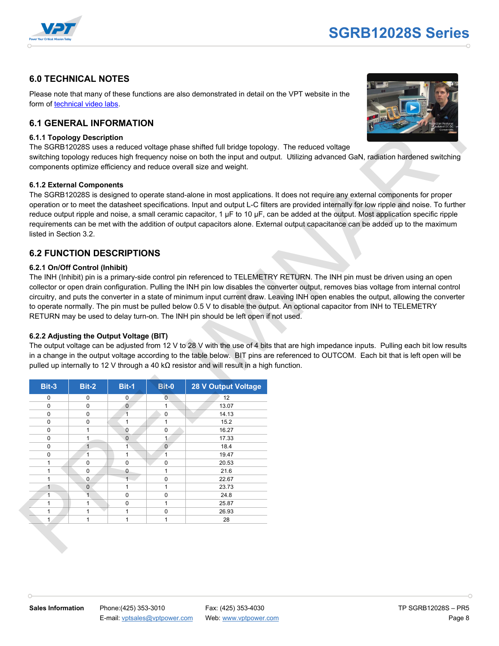

#### **6.0 TECHNICAL NOTES**

#### **6.1 GENERAL INFORMATION**

#### **6.1.1 Topology Description**

#### **6.1.2 External Components**

#### **6.2 FUNCTION DESCRIPTIONS**

#### **6.2.1 On/Off Control (Inhibit)**

#### **6.2.2 Adjusting the Output Voltage (BIT)**

| form of technical video labs.                       |                              |                              |                             |                                                                                                                                                                                        | Please note that many of these functions are also demonstrated in detail on the VPT website in the                         |                                                                                                                                                                                                                                                                                                                                                                                                                                                                                                                                                              |
|-----------------------------------------------------|------------------------------|------------------------------|-----------------------------|----------------------------------------------------------------------------------------------------------------------------------------------------------------------------------------|----------------------------------------------------------------------------------------------------------------------------|--------------------------------------------------------------------------------------------------------------------------------------------------------------------------------------------------------------------------------------------------------------------------------------------------------------------------------------------------------------------------------------------------------------------------------------------------------------------------------------------------------------------------------------------------------------|
| <b>6.1 GENERAL INFORMATION</b>                      |                              |                              |                             |                                                                                                                                                                                        |                                                                                                                            |                                                                                                                                                                                                                                                                                                                                                                                                                                                                                                                                                              |
| <b>6.1.1 Topology Description</b>                   |                              |                              |                             | components optimize efficiency and reduce overall size and weight.                                                                                                                     | The SGRB12028S uses a reduced voltage phase shifted full bridge topology. The reduced voltage                              | switching topology reduces high frequency noise on both the input and output. Utilizing advanced GaN, radiation hardened switching                                                                                                                                                                                                                                                                                                                                                                                                                           |
| 6.1.2 External Components<br>listed in Section 3.2. |                              |                              |                             |                                                                                                                                                                                        |                                                                                                                            | The SGRB12028S is designed to operate stand-alone in most applications. It does not require any external components for proper<br>operation or to meet the datasheet specifications. Input and output L-C filters are provided internally for low ripple and noise. To further<br>reduce output ripple and noise, a small ceramic capacitor, 1 µF to 10 µF, can be added at the output. Most application specific ripple<br>requirements can be met with the addition of output capacitors alone. External output capacitance can be added up to the maximum |
| <b>6.2 FUNCTION DESCRIPTIONS</b>                    |                              |                              |                             |                                                                                                                                                                                        |                                                                                                                            |                                                                                                                                                                                                                                                                                                                                                                                                                                                                                                                                                              |
| 6.2.2 Adjusting the Output Voltage (BIT)            |                              |                              |                             | RETURN may be used to delay turn-on. The INH pin should be left open if not used.<br>pulled up internally to 12 V through a 40 k $\Omega$ resistor and will result in a high function. | to operate normally. The pin must be pulled below 0.5 V to disable the output. An optional capacitor from INH to TELEMETRY | The output voltage can be adjusted from 12 V to 28 V with the use of 4 bits that are high impedance inputs. Pulling each bit low results<br>in a change in the output voltage according to the table below. BIT pins are referenced to OUTCOM. Each bit that is left open will be                                                                                                                                                                                                                                                                            |
| Bit-3                                               | Bit-2                        | Bit-1                        | Bit-0                       | <b>28 V Output Voltage</b>                                                                                                                                                             |                                                                                                                            |                                                                                                                                                                                                                                                                                                                                                                                                                                                                                                                                                              |
| 0                                                   | 0                            | $\mathbf 0$                  | $\mathbf{0}$                | 12                                                                                                                                                                                     |                                                                                                                            |                                                                                                                                                                                                                                                                                                                                                                                                                                                                                                                                                              |
| 0                                                   | 0                            | $\mathbf 0$                  | $\mathbf{1}$                | 13.07                                                                                                                                                                                  |                                                                                                                            |                                                                                                                                                                                                                                                                                                                                                                                                                                                                                                                                                              |
| 0                                                   | 0                            | $\overline{1}$               | $\mathbf 0$                 | 14.13                                                                                                                                                                                  |                                                                                                                            |                                                                                                                                                                                                                                                                                                                                                                                                                                                                                                                                                              |
| 0                                                   | $\pmb{0}$                    | $\mathbf{1}$                 | $\mathbf{1}$                | 15.2                                                                                                                                                                                   |                                                                                                                            |                                                                                                                                                                                                                                                                                                                                                                                                                                                                                                                                                              |
| 0<br>0                                              | $\mathbf{1}$<br>1            | $\mathbf{0}$<br>$\mathbf{0}$ | $\pmb{0}$<br>1              | 16.27<br>17.33                                                                                                                                                                         |                                                                                                                            |                                                                                                                                                                                                                                                                                                                                                                                                                                                                                                                                                              |
| 0                                                   | $\mathbf{1}$                 | $\mathbf{1}$                 | $\mathbf{0}$                | 18.4                                                                                                                                                                                   |                                                                                                                            |                                                                                                                                                                                                                                                                                                                                                                                                                                                                                                                                                              |
| 0                                                   | 1                            | $\mathbf{1}$                 | $\mathbf{1}$                | 19.47                                                                                                                                                                                  |                                                                                                                            |                                                                                                                                                                                                                                                                                                                                                                                                                                                                                                                                                              |
| $\mathbf{1}$                                        | 0                            | $\mathbf 0$                  | 0                           | 20.53                                                                                                                                                                                  |                                                                                                                            |                                                                                                                                                                                                                                                                                                                                                                                                                                                                                                                                                              |
| $\mathbf{1}$                                        | $\mathbf 0$                  | 0                            | $\mathbf{1}$                | 21.6                                                                                                                                                                                   |                                                                                                                            |                                                                                                                                                                                                                                                                                                                                                                                                                                                                                                                                                              |
| $\mathbf{1}$                                        | $\mathbf{0}$                 | $\mathbf{1}$                 | $\mathbf 0$                 | 22.67                                                                                                                                                                                  |                                                                                                                            |                                                                                                                                                                                                                                                                                                                                                                                                                                                                                                                                                              |
| $\mathbf{1}$                                        |                              |                              |                             |                                                                                                                                                                                        |                                                                                                                            |                                                                                                                                                                                                                                                                                                                                                                                                                                                                                                                                                              |
|                                                     | $\overline{0}$               | $\mathbf{1}$                 | $\mathbf{1}$                | 23.73                                                                                                                                                                                  |                                                                                                                            |                                                                                                                                                                                                                                                                                                                                                                                                                                                                                                                                                              |
| $\mathbf{1}$                                        | 1                            | $\mathbf 0$                  | $\mathbf 0$                 | 24.8                                                                                                                                                                                   |                                                                                                                            |                                                                                                                                                                                                                                                                                                                                                                                                                                                                                                                                                              |
| $\mathbf{1}$                                        | $\mathbf{1}$                 | $\mathbf 0$                  | $\mathbf{1}$                | 25.87                                                                                                                                                                                  |                                                                                                                            |                                                                                                                                                                                                                                                                                                                                                                                                                                                                                                                                                              |
| $\mathbf{1}$<br>1 <sup>1</sup>                      | $\mathbf{1}$<br>$\mathbf{1}$ | $\mathbf{1}$<br>$\mathbf{1}$ | $\mathbf 0$<br>$\mathbf{1}$ | 26.93<br>28                                                                                                                                                                            |                                                                                                                            |                                                                                                                                                                                                                                                                                                                                                                                                                                                                                                                                                              |

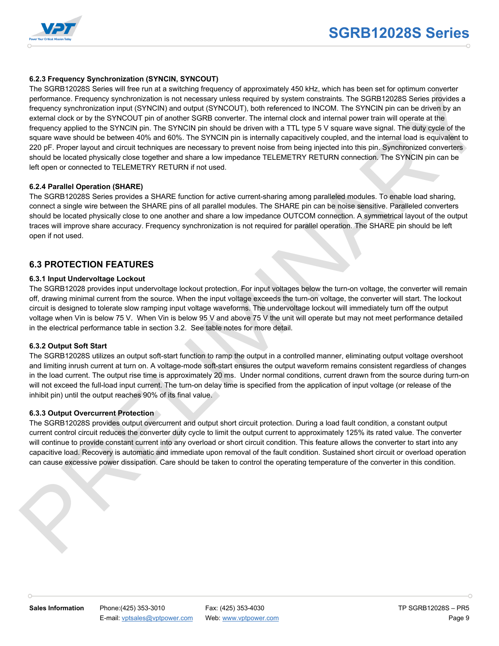

#### **6.2.3 Frequency Synchronization (SYNCIN, SYNCOUT)**

The SGRB12028S Series will free run at a switching frequency of approximately 450 kHz, which has been set for optimum converter performance. Frequency synchronization is not necessary unless required by system constraints. The SGRB12028S Series provides a frequency synchronization input (SYNCIN) and output (SYNCOUT), both referenced to INCOM. The SYNCIN pin can be driven by an external clock or by the SYNCOUT pin of another SGRB converter. The internal clock and internal power train will operate at the frequency applied to the SYNCIN pin. The SYNCIN pin should be driven with a TTL type 5 V square wave signal. The duty cycle of the square wave should be between 40% and 60%. The SYNCIN pin is internally capacitively coupled, and the internal load is equivalent to 220 pF. Proper layout and circuit techniques are necessary to prevent noise from being injected into this pin. Synchronized converters should be located physically close together and share a low impedance TELEMETRY RETURN connection. The SYNCIN pin can be left open or connected to TELEMETRY RETURN if not used. The RGSR (1920) Since a will be not at a substitute from the since the since a solid behavior and the since a state of the since and the since a state of the since the since the since the since and the since a state of the

#### **6.2.4 Parallel Operation (SHARE)**

The SGRB12028S Series provides a SHARE function for active current-sharing among paralleled modules. To enable load sharing, connect a single wire between the SHARE pins of all parallel modules. The SHARE pin can be noise sensitive. Paralleled converters should be located physically close to one another and share a low impedance OUTCOM connection. A symmetrical layout of the output traces will improve share accuracy. Frequency synchronization is not required for parallel operation. The SHARE pin should be left open if not used.

#### **6.3 PROTECTION FEATURES**

#### **6.3.1 Input Undervoltage Lockout**

The SGRB12028 provides input undervoltage lockout protection. For input voltages below the turn-on voltage, the converter will remain off, drawing minimal current from the source. When the input voltage exceeds the turn-on voltage, the converter will start. The lockout circuit is designed to tolerate slow ramping input voltage waveforms. The undervoltage lockout will immediately turn off the output voltage when Vin is below 75 V. When Vin is below 95 V and above 75 V the unit will operate but may not meet performance detailed in the electrical performance table in section 3.2. See table notes for more detail.

#### **6.3.2 Output Soft Start**

The SGRB12028S utilizes an output soft-start function to ramp the output in a controlled manner, eliminating output voltage overshoot and limiting inrush current at turn on. A voltage-mode soft-start ensures the output waveform remains consistent regardless of changes in the load current. The output rise time is approximately 20 ms. Under normal conditions, current drawn from the source during turn-on will not exceed the full-load input current. The turn-on delay time is specified from the application of input voltage (or release of the inhibit pin) until the output reaches 90% of its final value.

#### **6.3.3 Output Overcurrent Protection**

The SGRB12028S provides output overcurrent and output short circuit protection. During a load fault condition, a constant output current control circuit reduces the converter duty cycle to limit the output current to approximately 125% its rated value. The converter will continue to provide constant current into any overload or short circuit condition. This feature allows the converter to start into any capacitive load. Recovery is automatic and immediate upon removal of the fault condition. Sustained short circuit or overload operation can cause excessive power dissipation. Care should be taken to control the operating temperature of the converter in this condition.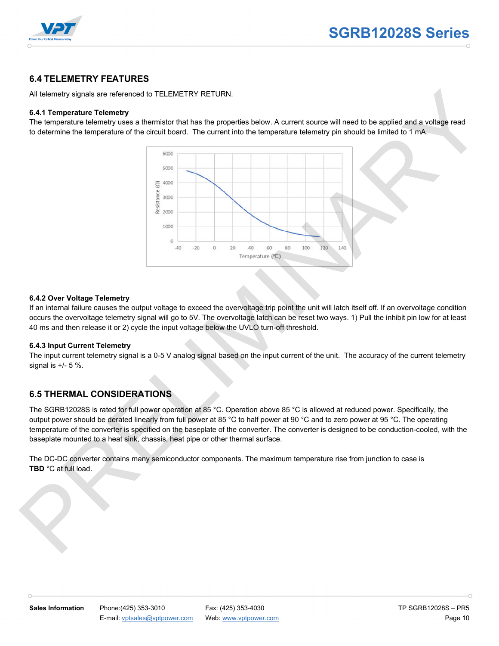

#### **6.4 TELEMETRY FEATURES**

All telemetry signals are referenced to TELEMETRY RETURN.

#### **6.4.1 Temperature Telemetry**

The temperature telemetry uses a thermistor that has the properties below. A current source will need to be applied and a voltage read to determine the temperature of the circuit board. The current into the temperature telemetry pin should be limited to 1 mA.



#### **6.4.2 Over Voltage Telemetry**

If an internal failure causes the output voltage to exceed the overvoltage trip point the unit will latch itself off. If an overvoltage condition occurs the overvoltage telemetry signal will go to 5V. The overvoltage latch can be reset two ways. 1) Pull the inhibit pin low for at least 40 ms and then release it or 2) cycle the input voltage below the UVLO turn-off threshold.

#### **6.4.3 Input Current Telemetry**

The input current telemetry signal is a 0-5 V analog signal based on the input current of the unit. The accuracy of the current telemetry signal is  $+/- 5$  %.

#### **6.5 THERMAL CONSIDERATIONS**

The SGRB12028S is rated for full power operation at 85 °C. Operation above 85 °C is allowed at reduced power. Specifically, the output power should be derated linearly from full power at 85 °C to half power at 90 °C and to zero power at 95 °C. The operating temperature of the converter is specified on the baseplate of the converter. The converter is designed to be conduction-cooled, with the baseplate mounted to a heat sink, chassis, heat pipe or other thermal surface.

The DC-DC converter contains many semiconductor components. The maximum temperature rise from junction to case is **TBD** °C at full load.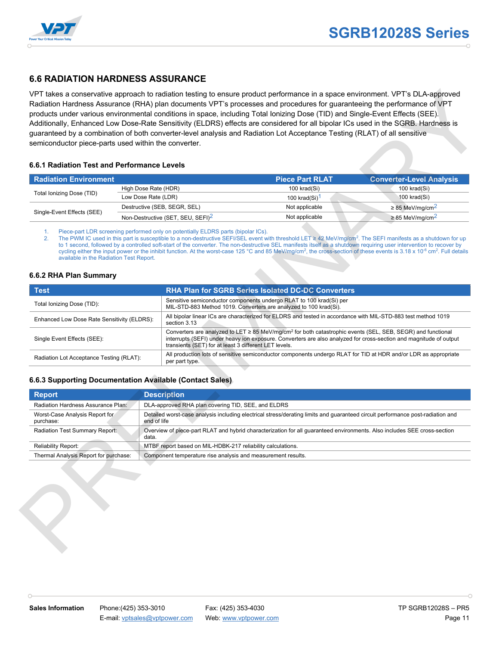

#### **6.6 RADIATION HARDNESS ASSURANCE**

#### **6.6.1 Radiation Test and Performance Levels**

| <b>Radiation Environment</b> |                                               | <b>Piece Part RLAT</b> | <b>Converter-Level Analysis</b>  |
|------------------------------|-----------------------------------------------|------------------------|----------------------------------|
|                              | High Dose Rate (HDR)                          | 100 krad(Si)           | 100 krad(Si)                     |
| Total Ionizing Dose (TID)    | Low Dose Rate (LDR)                           | 100 krad $(Si)^1$      | 100 krad(Si)                     |
|                              | Destructive (SEB, SEGR, SEL)                  | Not applicable         | $\geq$ 85 MeV/mg/cm <sup>2</sup> |
| Single-Event Effects (SEE)   | Non-Destructive (SET, SEU, SEFI) <sup>2</sup> | Not applicable         | $\geq$ 85 MeV/mg/cm <sup>2</sup> |

#### **6.6.2 RHA Plan Summary**

| <b>Radiation Environment</b>                                                                       |                              |                                                                                                                                                                                                                                                                                                             | <b>Piece Part RLAT</b>                                                                                                    | <b>Converter-Level Analysis</b>                                                                                                |  |  |
|----------------------------------------------------------------------------------------------------|------------------------------|-------------------------------------------------------------------------------------------------------------------------------------------------------------------------------------------------------------------------------------------------------------------------------------------------------------|---------------------------------------------------------------------------------------------------------------------------|--------------------------------------------------------------------------------------------------------------------------------|--|--|
|                                                                                                    | High Dose Rate (HDR)         |                                                                                                                                                                                                                                                                                                             | 100 krad(Si)                                                                                                              | 100 krad(Si)                                                                                                                   |  |  |
| Total Ionizing Dose (TID)                                                                          | Low Dose Rate (LDR)          |                                                                                                                                                                                                                                                                                                             | 100 krad(Si) <sup>1</sup>                                                                                                 | 100 krad(Si)                                                                                                                   |  |  |
|                                                                                                    | Destructive (SEB, SEGR, SEL) |                                                                                                                                                                                                                                                                                                             | Not applicable                                                                                                            | $\geq$ 85 MeV/mg/cm <sup>2</sup>                                                                                               |  |  |
| Single-Event Effects (SEE)                                                                         |                              | Non-Destructive (SET, SEU, SEFI) <sup>2</sup>                                                                                                                                                                                                                                                               | Not applicable                                                                                                            | $\geq$ 85 MeV/mg/cm <sup>2</sup>                                                                                               |  |  |
| <b>Test</b>                                                                                        |                              |                                                                                                                                                                                                                                                                                                             | RHA Plan for SGRB Series Isolated DC-DC Converters<br>Sensitive semiconductor components undergo RLAT to 100 krad(Si) per |                                                                                                                                |  |  |
|                                                                                                    |                              |                                                                                                                                                                                                                                                                                                             |                                                                                                                           |                                                                                                                                |  |  |
| Total Ionizing Dose (TID):                                                                         |                              |                                                                                                                                                                                                                                                                                                             | MIL-STD-883 Method 1019. Converters are analyzed to 100 krad(Si).                                                         |                                                                                                                                |  |  |
| Enhanced Low Dose Rate Sensitivity (ELDRS):                                                        |                              | All bipolar linear ICs are characterized for ELDRS and tested in accordance with MIL-STD-883 test method 1019<br>section 3.13                                                                                                                                                                               |                                                                                                                           |                                                                                                                                |  |  |
| Single Event Effects (SEE):                                                                        |                              | Converters are analyzed to LET $\geq 85$ MeV/mg/cm <sup>2</sup> for both catastrophic events (SEL, SEB, SEGR) and functional<br>interrupts (SEFI) under heavy ion exposure. Converters are also analyzed for cross-section and magnitude of output<br>transients (SET) for at least 3 different LET levels. |                                                                                                                           |                                                                                                                                |  |  |
| Radiation Lot Acceptance Testing (RLAT):                                                           |                              | All production lots of sensitive semiconductor components undergo RLAT for TID at HDR and/or LDR as appropriate<br>per part type.                                                                                                                                                                           |                                                                                                                           |                                                                                                                                |  |  |
|                                                                                                    |                              |                                                                                                                                                                                                                                                                                                             |                                                                                                                           |                                                                                                                                |  |  |
| 6.6.3 Supporting Documentation Available (Contact Sales)                                           |                              |                                                                                                                                                                                                                                                                                                             |                                                                                                                           |                                                                                                                                |  |  |
|                                                                                                    |                              |                                                                                                                                                                                                                                                                                                             |                                                                                                                           |                                                                                                                                |  |  |
|                                                                                                    |                              | <b>Description</b><br>DLA-approved RHA plan covering TID, SEE, and ELDRS                                                                                                                                                                                                                                    |                                                                                                                           |                                                                                                                                |  |  |
| <b>Report</b><br>Radiation Hardness Assurance Plan:<br>Worst-Case Analysis Report for<br>purchase: | end of life                  |                                                                                                                                                                                                                                                                                                             |                                                                                                                           | Detailed worst-case analysis including electrical stress/derating limits and guaranteed circuit performance post-radiation and |  |  |
| Radiation Test Summary Report:                                                                     | data.                        |                                                                                                                                                                                                                                                                                                             |                                                                                                                           | Overview of piece-part RLAT and hybrid characterization for all guaranteed environments. Also includes SEE cross-section       |  |  |
| Reliability Report:                                                                                |                              | MTBF report based on MIL-HDBK-217 reliability calculations.                                                                                                                                                                                                                                                 |                                                                                                                           |                                                                                                                                |  |  |

#### **6.6.3 Supporting Documentation Available (Contact Sales)**

| <b>Report</b>                               | <b>Description</b>                                                                                                                            |
|---------------------------------------------|-----------------------------------------------------------------------------------------------------------------------------------------------|
| Radiation Hardness Assurance Plan:          | DLA-approved RHA plan covering TID, SEE, and ELDRS                                                                                            |
| Worst-Case Analysis Report for<br>purchase: | Detailed worst-case analysis including electrical stress/derating limits and quaranteed circuit performance post-radiation and<br>end of life |
| Radiation Test Summary Report:              | Overview of piece-part RLAT and hybrid characterization for all quaranteed environments. Also includes SEE cross-section<br>data.             |
| Reliability Report:                         | MTBF report based on MIL-HDBK-217 reliability calculations.                                                                                   |
| Thermal Analysis Report for purchase:       | Component temperature rise analysis and measurement results.                                                                                  |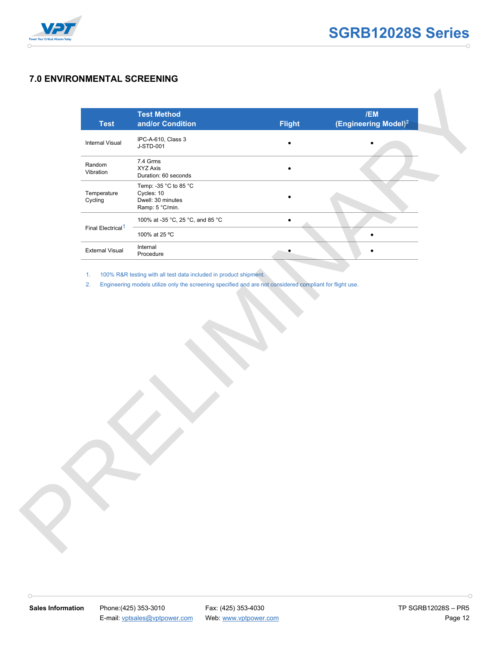

#### **7.0 ENVIRONMENTAL SCREENING**

| <b>Test</b>                   | <b>Test Method</b><br>and/or Condition                                                                   | <b>Flight</b> | /EM<br>(Engineering Model) <sup>2</sup> |  |
|-------------------------------|----------------------------------------------------------------------------------------------------------|---------------|-----------------------------------------|--|
| Internal Visual               | IPC-A-610, Class 3<br>J-STD-001                                                                          | $\bullet$     |                                         |  |
| Random<br>Vibration           | 7.4 Grms<br>XYZ Axis<br>Duration: 60 seconds                                                             | $\bullet$     |                                         |  |
| Temperature<br>Cycling        | Temp: -35 °C to 85 °C<br>Cycles: 10<br>Dwell: 30 minutes<br>Ramp: 5 °C/min.                              |               |                                         |  |
|                               | 100% at -35 °C, 25 °C, and 85 °C                                                                         | $\bullet$     |                                         |  |
| Final Electrical <sup>1</sup> | 100% at 25 °C                                                                                            |               | $\bullet$                               |  |
| <b>External Visual</b>        | Internal<br>Procedure                                                                                    |               | $\bullet$                               |  |
| 2.                            | Engineering models utilize only the screening specified and are not considered compliant for flight use. |               |                                         |  |
|                               |                                                                                                          |               |                                         |  |

 $\cap$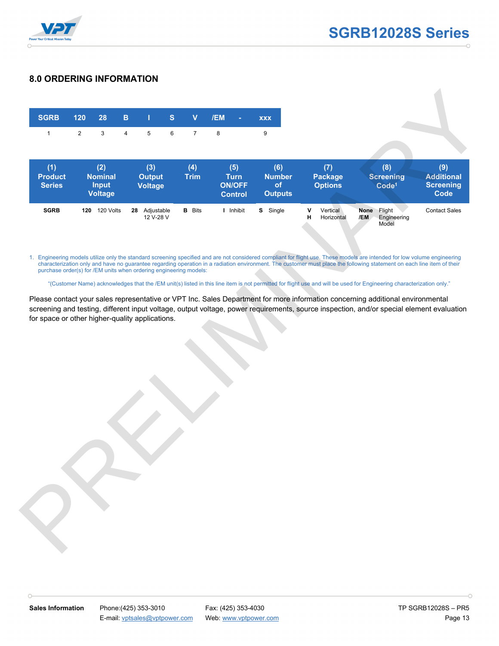

#### **8.0 ORDERING INFORMATION**



1. Engineering models utilize only the standard screening specified and are not considered compliant for flight use. These models are intended for low volume engineering characterization only and have no guarantee regarding operation in a radiation environment. The customer must place the following statement on each line item of their purchase order(s) for /EM units when ordering engineering models:

"(Customer Name) acknowledges that the /EM unit(s) listed in this line item is not permitted for flight use and will be used for Engineering characterization only."

Please contact your sales representative or VPT Inc. Sales Department for more information concerning additional environmental screening and testing, different input voltage, output voltage, power requirements, source inspection, and/or special element evaluation for space or other higher-quality applications.